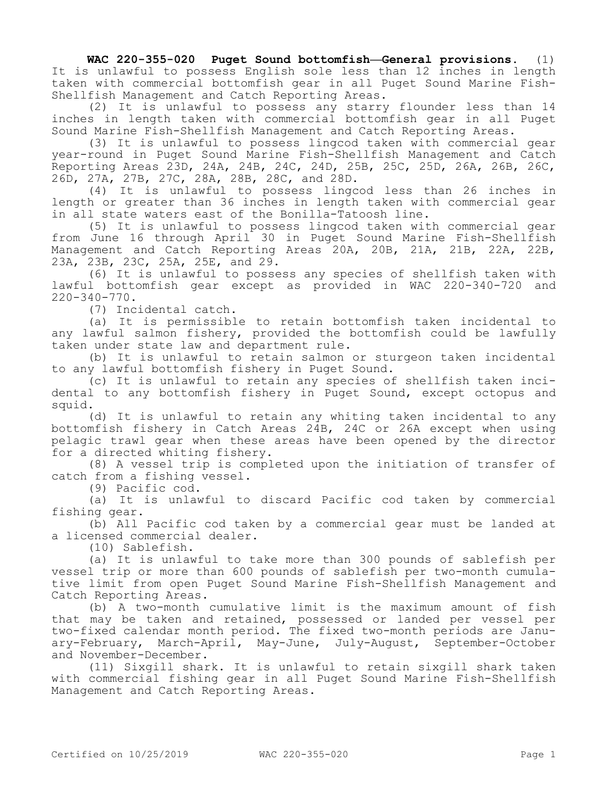**WAC 220-355-020 Puget Sound bottomfish—General provisions.** (1) It is unlawful to possess English sole less than 12 inches in length taken with commercial bottomfish gear in all Puget Sound Marine Fish-Shellfish Management and Catch Reporting Areas.

(2) It is unlawful to possess any starry flounder less than 14 inches in length taken with commercial bottomfish gear in all Puget Sound Marine Fish-Shellfish Management and Catch Reporting Areas.

(3) It is unlawful to possess lingcod taken with commercial gear year-round in Puget Sound Marine Fish-Shellfish Management and Catch Reporting Areas 23D, 24A, 24B, 24C, 24D, 25B, 25C, 25D, 26A, 26B, 26C, 26D, 27A, 27B, 27C, 28A, 28B, 28C, and 28D.

(4) It is unlawful to possess lingcod less than 26 inches in length or greater than 36 inches in length taken with commercial gear in all state waters east of the Bonilla-Tatoosh line.

(5) It is unlawful to possess lingcod taken with commercial gear from June 16 through April 30 in Puget Sound Marine Fish-Shellfish Management and Catch Reporting Areas 20A, 20B, 21A, 21B, 22A, 22B, 23A, 23B, 23C, 25A, 25E, and 29.

(6) It is unlawful to possess any species of shellfish taken with lawful bottomfish gear except as provided in WAC 220-340-720 and 220-340-770.

(7) Incidental catch.

(a) It is permissible to retain bottomfish taken incidental to any lawful salmon fishery, provided the bottomfish could be lawfully taken under state law and department rule.

(b) It is unlawful to retain salmon or sturgeon taken incidental to any lawful bottomfish fishery in Puget Sound.

(c) It is unlawful to retain any species of shellfish taken incidental to any bottomfish fishery in Puget Sound, except octopus and squid.

(d) It is unlawful to retain any whiting taken incidental to any bottomfish fishery in Catch Areas 24B, 24C or 26A except when using pelagic trawl gear when these areas have been opened by the director for a directed whiting fishery.

(8) A vessel trip is completed upon the initiation of transfer of catch from a fishing vessel.

(9) Pacific cod.

(a) It is unlawful to discard Pacific cod taken by commercial fishing gear.

(b) All Pacific cod taken by a commercial gear must be landed at a licensed commercial dealer.

(10) Sablefish.

(a) It is unlawful to take more than 300 pounds of sablefish per vessel trip or more than 600 pounds of sablefish per two-month cumulative limit from open Puget Sound Marine Fish-Shellfish Management and Catch Reporting Areas.

(b) A two-month cumulative limit is the maximum amount of fish that may be taken and retained, possessed or landed per vessel per two-fixed calendar month period. The fixed two-month periods are January-February, March-April, May-June, July-August, September-October and November-December.

(11) Sixgill shark. It is unlawful to retain sixgill shark taken with commercial fishing gear in all Puget Sound Marine Fish-Shellfish Management and Catch Reporting Areas.